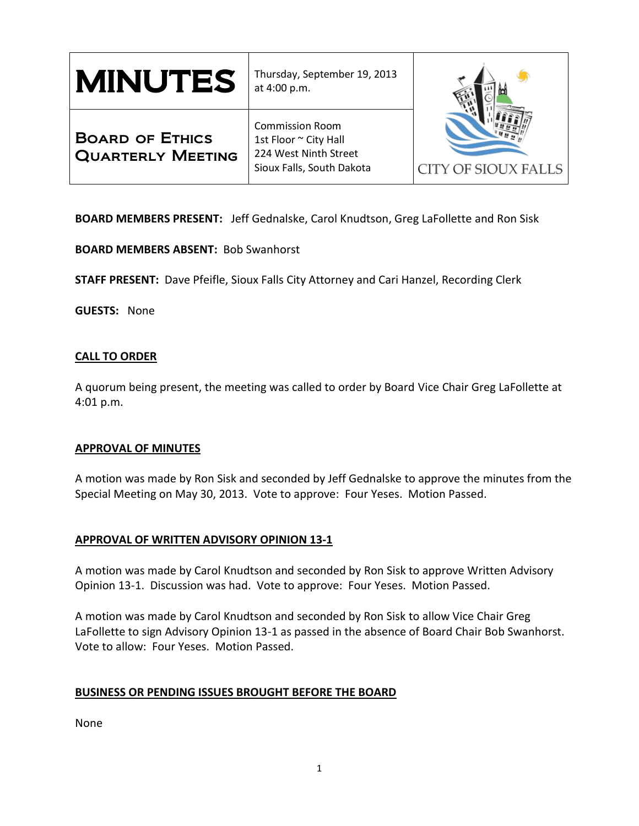| <b>MINUTES</b>                                     | Thursday, September 19, 2013<br>at 4:00 p.m.                                                          |                            |
|----------------------------------------------------|-------------------------------------------------------------------------------------------------------|----------------------------|
| <b>BOARD OF ETHICS</b><br><b>QUARTERLY MEETING</b> | <b>Commission Room</b><br>1st Floor ~ City Hall<br>224 West Ninth Street<br>Sioux Falls, South Dakota | <b>CITY OF SIOUX FALLS</b> |

**BOARD MEMBERS PRESENT:** Jeff Gednalske, Carol Knudtson, Greg LaFollette and Ron Sisk

**BOARD MEMBERS ABSENT:** Bob Swanhorst

**STAFF PRESENT:** Dave Pfeifle, Sioux Falls City Attorney and Cari Hanzel, Recording Clerk

**GUESTS:** None

### **CALL TO ORDER**

A quorum being present, the meeting was called to order by Board Vice Chair Greg LaFollette at 4:01 p.m.

### **APPROVAL OF MINUTES**

A motion was made by Ron Sisk and seconded by Jeff Gednalske to approve the minutes from the Special Meeting on May 30, 2013. Vote to approve: Four Yeses. Motion Passed.

# **APPROVAL OF WRITTEN ADVISORY OPINION 13-1**

A motion was made by Carol Knudtson and seconded by Ron Sisk to approve Written Advisory Opinion 13-1. Discussion was had. Vote to approve: Four Yeses. Motion Passed.

A motion was made by Carol Knudtson and seconded by Ron Sisk to allow Vice Chair Greg LaFollette to sign Advisory Opinion 13-1 as passed in the absence of Board Chair Bob Swanhorst. Vote to allow: Four Yeses. Motion Passed.

# **BUSINESS OR PENDING ISSUES BROUGHT BEFORE THE BOARD**

None